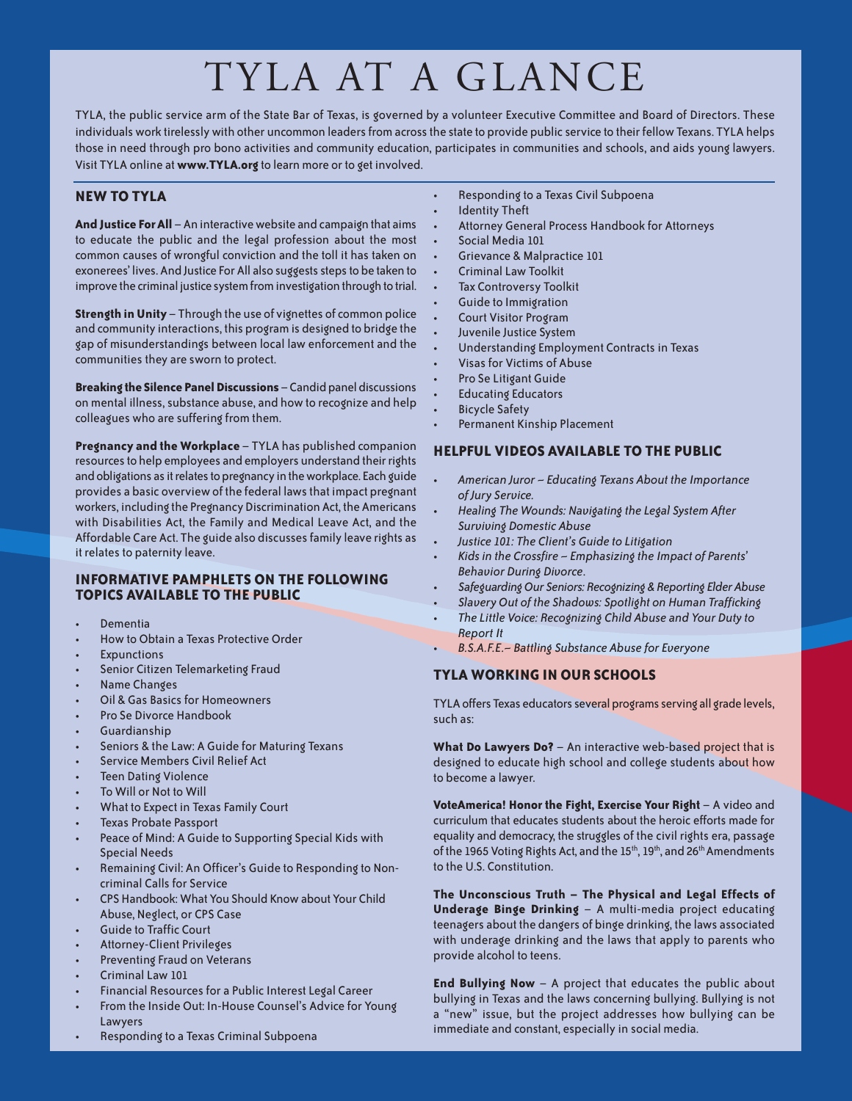# TYLA AT A GLANCE

TYLA, the public service arm of the State Bar of Texas, is governed by a volunteer Executive Committee and Board of Directors. These individuals work tirelessly with other uncommon leaders from across the state to provide public service to their fellow Texans. TYLA helps those in need through pro bono activities and community education, participates in communities and schools, and aids young lawyers. Visit TYLA online at **www.TYLA.org** to learn more or to get involved.

# **NEW TO TYLA**

**And Justice ForAll** –An interactivewebsite and campaign that aims to educate the public and the legal profession about the most common causes of wrongful conviction and the toll it has taken on exonerees' lives. And Justice For All also suggests steps to be taken to improve the criminal justice system from investigation through to trial.

**Strength inUnity** – Through the use of vignettes of common police and community interactions, this program is designed to bridge the gap of misunderstandings between local law enforcement and the communities they are sworn to protect.

**Breaking the Silence Panel Discussions** – Candid panel discussions on mental illness, substance abuse, and how to recognize and help colleagues who are suffering from them.

**Pregnancy and the Workplace** – TYLA has published companion resources to help employees and employers understand their rights and obligations as it relates to pregnancy in the workplace. Each guide provides a basic overviewof the federal lawsthat impact pregnant workers, including the Pregnancy Discrimination Act, the Americans with Disabilities Act, the Family and Medical Leave Act, and the Affordable Care Act. The guide also discussesfamily leave rights as it relates to paternity leave.

#### **INFORMATIVE PAMPHLETS ON THE FOLLOWING TOPICS AVAILABLE TO THE PUBLIC**

- Dementia
- How to Obtain a Texas Protective Order
- **Expunctions**
- Senior Citizen Telemarketing Fraud
- Name Changes
- Oil & Gas Basics for Homeowners
- Pro Se Divorce Handbook
- Guardianship
- Seniors & the Law: A Guide for Maturing Texans
- Service Members Civil Relief Act
- Teen Dating Violence
- To Will or Not to Will
- What to Expect in Texas Family Court
- Texas Probate Passport
- Peace of Mind: A Guide to Supporting Special Kids with Special Needs
- Remaining Civil: An Officer's Guide to Responding to Noncriminal Calls for Service
- CPS Handbook: What You Should Knowabout Your Child Abuse, Neglect, or CPS Case
- Guide to Traffic Court
- Attorney-Client Privileges
- Preventing Fraud on Veterans
- Criminal Law 101
- Financial Resources for a Public Interest Legal Career
- From the Inside Out: In-House Counsel's Advice for Young Lawyers
- Responding to a Texas Criminal Subpoena
- Responding to a Texas Civil Subpoena
- **Identity Theft**
- Attorney General Process Handbook for Attorneys
- Social Media 101
- Grievance & Malpractice 101
- Criminal Law Toolkit
- **Tax Controversy Toolkit**
- Guide to Immigration
- Court Visitor Program
- Juvenile Justice System
- Understanding Employment Contracts in Texas
- Visas for Victims of Abuse
- Pro Se Litigant Guide
- Educating Educators
- Bicycle Safety
- Permanent Kinship Placement

## **HELPFUL VIDEOS AVAILABLE TO THE PUBLIC**

- *American Juror – Educating Texans About the Importance of Jury Service.*
- *Healing The Wounds: Navigating the Legal System After Surviving Domestic Abuse*
- *Justice 101: The Client's Guide to Litigation*
- *Kidsin the Crossfire – Emphasizing the Impact of Parents' Behavior During Divorce*.
- *SafeguardingOur Seniors: Recognizing & Reporting ElderAbuse*
- *Slavery Out of the Shadows: Spotlight on Human Trafficking*
- *The Little Voice: Recognizing Child Abuse and Your Duty to Report It*
- *B.S.A.F.E.– Battling Substance Abuse for Everyone*

# **TYLA WORKING IN OUR SCHOOLS**

TYLA offers Texas educators several programs serving all grade levels, such as:

**What Do Lawyers Do?** – An interactive web-based project that is designed to educate high school and college students about how to become a lawyer.

**VoteAmerica! Honor the Fight, Exercise Your Right** – A video and curriculum that educates students about the heroic efforts made for equality and democracy, the struggles of the civil rights era, passage of the 1965 Voting Rights Act, and the 15<sup>th</sup>, 19<sup>th</sup>, and 26<sup>th</sup> Amendments to the U.S. Constitution.

**The Unconscious Truth – The Physical and Legal Effects of Underage Binge Drinking** – A multi-media project educating teenagers about the dangers of binge drinking, the laws associated with underage drinking and the laws that apply to parents who provide alcohol to teens.

**End Bullying Now** – A project that educates the public about bullying in Texas and the laws concerning bullying. Bullying is not a "new" issue, but the project addresses how bullying can be immediate and constant, especially in social media.